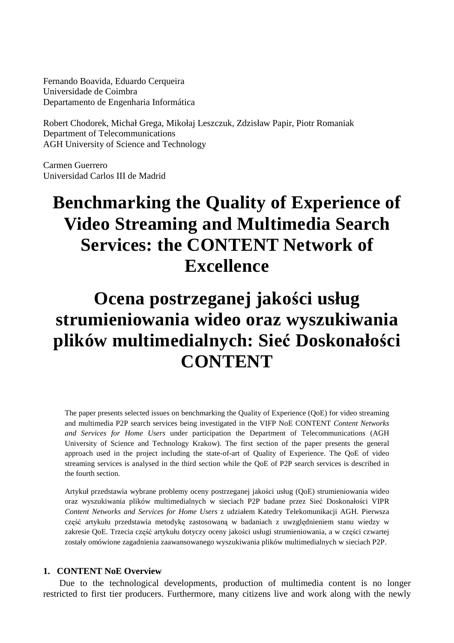Fernando Boavida, Eduardo Cerqueira Universidade de Coimbra Departamento de Engenharia Informática

Robert Chodorek, Michał Grega, Mikołaj Leszczuk, Zdzisław Papir, Piotr Romaniak Department of Telecommunications AGH University of Science and Technology

Carmen Guerrero Universidad Carlos III de Madrid

# **Benchmarking the Quality of Experience of Video Streaming and Multimedia Search Services: the CONTENT Network of Excellence**

# **Ocena postrzeganej jakości usług strumieniowania wideo oraz wyszukiwania plików multimedialnych: Sieć Doskonałości CONTENT**

The paper presents selected issues on benchmarking the Quality of Experience (QoE) for video streaming and multimedia P2P search services being investigated in the VIFP NoE CONTENT *Content Networks and Services for Home Users* under participation the Department of Telecommunications (AGH University of Science and Technology Krakow). The first section of the paper presents the general approach used in the project including the state-of-art of Quality of Experience. The QoE of video streaming services is analysed in the third section while the QoE of P2P search services is described in the fourth section.

Artykuł przedstawia wybrane problemy oceny postrzeganej jakości usług (QoE) strumieniowania wideo oraz wyszukiwania plików multimedialnych w sieciach P2P badane przez Sieć Doskonałości VIPR *Content Networks and Services for Home Users* z udziałem Katedry Telekomunikacji AGH. Pierwsza część artykułu przedstawia metodykę zastosowaną w badaniach z uwzględnieniem stanu wiedzy w zakresie QoE. Trzecia część artykułu dotyczy oceny jakości usługi strumieniowania, a w części czwartej zostały omówione zagadnienia zaawansowanego wyszukiwania plików multimedialnych w sieciach P2P.

## **1. CONTENT NoE Overview**

Due to the technological developments, production of multimedia content is no longer restricted to first tier producers. Furthermore, many citizens live and work along with the newly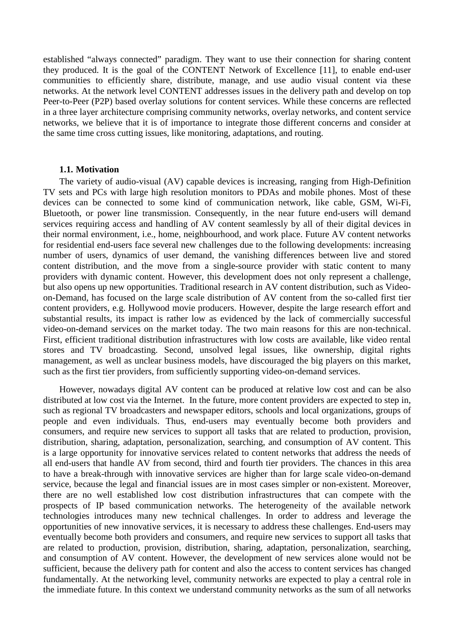established "always connected" paradigm. They want to use their connection for sharing content they produced. It is the goal of the CONTENT Network of Excellence [11], to enable end-user communities to efficiently share, distribute, manage, and use audio visual content via these networks. At the network level CONTENT addresses issues in the delivery path and develop on top Peer-to-Peer (P2P) based overlay solutions for content services. While these concerns are reflected in a three layer architecture comprising community networks, overlay networks, and content service networks, we believe that it is of importance to integrate those different concerns and consider at the same time cross cutting issues, like monitoring, adaptations, and routing.

#### **1.1. Motivation**

The variety of audio-visual (AV) capable devices is increasing, ranging from High-Definition TV sets and PCs with large high resolution monitors to PDAs and mobile phones. Most of these devices can be connected to some kind of communication network, like cable, GSM, Wi-Fi, Bluetooth, or power line transmission. Consequently, in the near future end-users will demand services requiring access and handling of AV content seamlessly by all of their digital devices in their normal environment, i.e., home, neighbourhood, and work place. Future AV content networks for residential end-users face several new challenges due to the following developments: increasing number of users, dynamics of user demand, the vanishing differences between live and stored content distribution, and the move from a single-source provider with static content to many providers with dynamic content. However, this development does not only represent a challenge, but also opens up new opportunities. Traditional research in AV content distribution, such as Videoon-Demand, has focused on the large scale distribution of AV content from the so-called first tier content providers, e.g. Hollywood movie producers. However, despite the large research effort and substantial results, its impact is rather low as evidenced by the lack of commercially successful video-on-demand services on the market today. The two main reasons for this are non-technical. First, efficient traditional distribution infrastructures with low costs are available, like video rental stores and TV broadcasting. Second, unsolved legal issues, like ownership, digital rights management, as well as unclear business models, have discouraged the big players on this market, such as the first tier providers, from sufficiently supporting video-on-demand services.

However, nowadays digital AV content can be produced at relative low cost and can be also distributed at low cost via the Internet. In the future, more content providers are expected to step in, such as regional TV broadcasters and newspaper editors, schools and local organizations, groups of people and even individuals. Thus, end-users may eventually become both providers and consumers, and require new services to support all tasks that are related to production, provision, distribution, sharing, adaptation, personalization, searching, and consumption of AV content. This is a large opportunity for innovative services related to content networks that address the needs of all end-users that handle AV from second, third and fourth tier providers. The chances in this area to have a break-through with innovative services are higher than for large scale video-on-demand service, because the legal and financial issues are in most cases simpler or non-existent. Moreover, there are no well established low cost distribution infrastructures that can compete with the prospects of IP based communication networks. The heterogeneity of the available network technologies introduces many new technical challenges. In order to address and leverage the opportunities of new innovative services, it is necessary to address these challenges. End-users may eventually become both providers and consumers, and require new services to support all tasks that are related to production, provision, distribution, sharing, adaptation, personalization, searching, and consumption of AV content. However, the development of new services alone would not be sufficient, because the delivery path for content and also the access to content services has changed fundamentally. At the networking level, community networks are expected to play a central role in the immediate future. In this context we understand community networks as the sum of all networks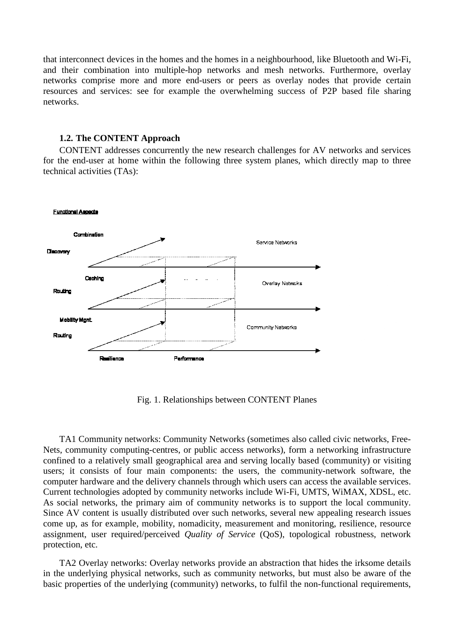that interconnect devices in the homes and the homes in a neighbourhood, like Bluetooth and Wi Wi-Fi, and their combination into multiple-hop networks and mesh networks. Furthermore, overlay networks comprise more and more end-users or peers as overlay nodes that provide certain resources and services: see for example the overwhelming success of P2P based file sharing networks.

# **1.2. The CONTENT Approach**

CONTENT addresses concurrently the new research challenges for AV networks and services for the end-user at home within the following three system planes, which directly map to three technical activities (TAs):



Fig. 1. Relationships between CONTENT Planes

TA1 Community networks: Community Networks (sometimes also called civic networks, Free Nets, community computing-centres, or public access networks), form a networking infras infrastructure confined to a relatively small geographical area and serving locally based (community) or visiting users; it consists of four main components: the users, the community-network software, the computer hardware and the delivery channels through which users can access the available services. Current technologies adopted by community networks include Wi-Fi, UMTS, WiMAX, XDSL, etc. As social networks, the primary aim of community networks is to support the local community. Since AV content is usually distributed over such networks, several new appealing research issues come up, as for example, mobility, nomadicity, measurement and monitoring, resilience, resource assignment, user required/perceived *Quality of Service* (QoS), topological robustness, network protection, etc. mmunity-network<br>can access the avail<br>Fi, UMTS, WiMA2<br>to support the loca<br>al new appealing re<br>monitoring, resilie<br>topological robustr<br>ion that hides the ir<br>s, but must also be<br>the non-functional

TA2 Overlay networks: Overlay networks provide an abstraction that hides the irksome details in the underlying physical networks, such as community networks, but must also be aware of the basic properties of the underlying (community) networks, to fulfil the non-functional requirements,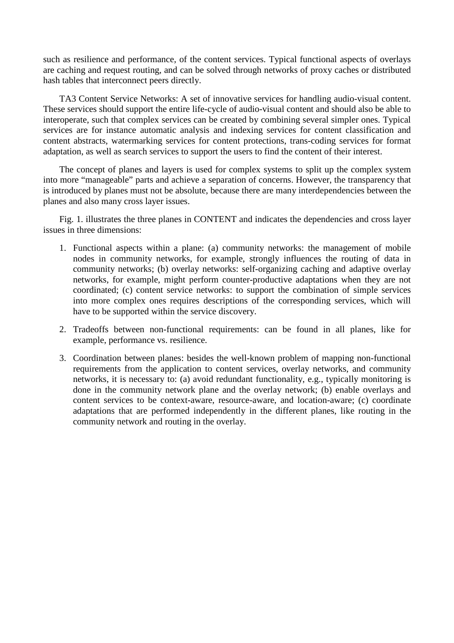such as resilience and performance, of the content services. Typical functional aspects of overlays are caching and request routing, and can be solved through networks of proxy caches or distributed hash tables that interconnect peers directly.

TA3 Content Service Networks: A set of innovative services for handling audio-visual content. These services should support the entire life-cycle of audio-visual content and should also be able to interoperate, such that complex services can be created by combining several simpler ones. Typical services are for instance automatic analysis and indexing services for content classification and content abstracts, watermarking services for content protections, trans-coding services for format adaptation, as well as search services to support the users to find the content of their interest.

The concept of planes and layers is used for complex systems to split up the complex system into more "manageable" parts and achieve a separation of concerns. However, the transparency that is introduced by planes must not be absolute, because there are many interdependencies between the planes and also many cross layer issues.

Fig. 1. illustrates the three planes in CONTENT and indicates the dependencies and cross layer issues in three dimensions:

- 1. Functional aspects within a plane: (a) community networks: the management of mobile nodes in community networks, for example, strongly influences the routing of data in community networks; (b) overlay networks: self-organizing caching and adaptive overlay networks, for example, might perform counter-productive adaptations when they are not coordinated; (c) content service networks: to support the combination of simple services into more complex ones requires descriptions of the corresponding services, which will have to be supported within the service discovery.
- 2. Tradeoffs between non-functional requirements: can be found in all planes, like for example, performance vs. resilience.
- 3. Coordination between planes: besides the well-known problem of mapping non-functional requirements from the application to content services, overlay networks, and community networks, it is necessary to: (a) avoid redundant functionality, e.g., typically monitoring is done in the community network plane and the overlay network; (b) enable overlays and content services to be context-aware, resource-aware, and location-aware; (c) coordinate adaptations that are performed independently in the different planes, like routing in the community network and routing in the overlay.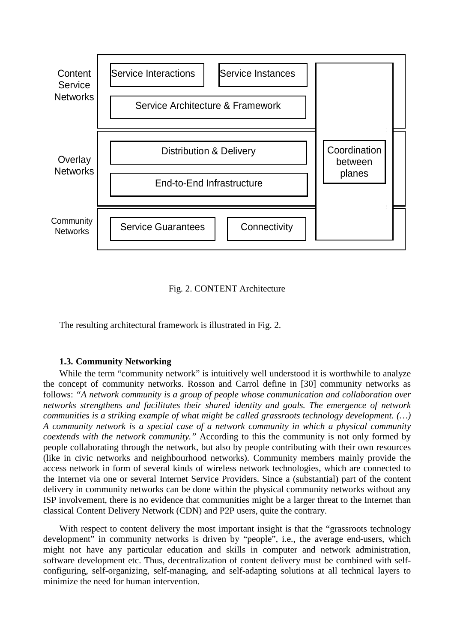



The resulting architectural framework is illustrated in Fig. 2.

# **1.3. Community Networking**

While the term "community network" is intuitively well understood it is worthwhile to analyze the concept of community networks. Rosson and Carrol define in [30] community networks as follows: *"A network community is a group of people whose communication and collaboration over networks strengthens and facilitates their shared identity and goals. The emergence of network communities is a striking example of what might be called grassroots technology development. (…) A community network is a special case of a network community in which a physical community coextends with the network community."* According to this the community is not only formed by people collaborating through the network, but also by people contributing with their own resources (like in civic networks and neighbourhood networks). Community members mainly provide the access network in form of several kinds of wireless network technologies, which are connected to the Internet via one or several Internet Service Providers. Since a (substantial) part of the content delivery in community networks can be done within the physical community networks without any ISP involvement, there is no evidence that communities might be a larger threat to the Internet than classical Content Delivery Network (CDN) and P2P users, quite the contrary.

With respect to content delivery the most important insight is that the "grassroots technology development" in community networks is driven by "people", i.e., the average end-users, which might not have any particular education and skills in computer and network administration, software development etc. Thus, decentralization of content delivery must be combined with selfconfiguring, self-organizing, self-managing, and self-adapting solutions at all technical layers to minimize the need for human intervention.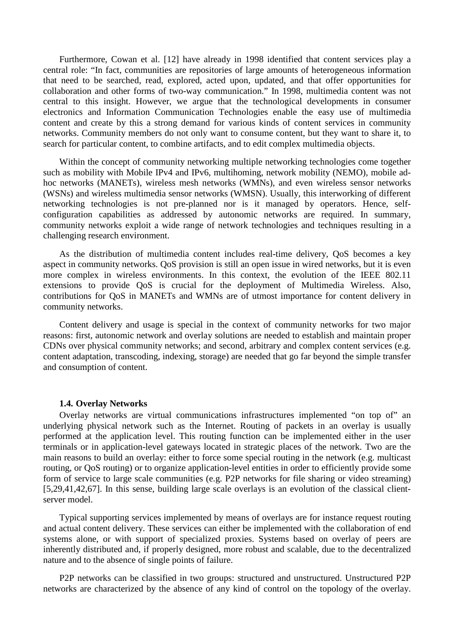Furthermore, Cowan et al. [12] have already in 1998 identified that content services play a central role: "In fact, communities are repositories of large amounts of heterogeneous information that need to be searched, read, explored, acted upon, updated, and that offer opportunities for collaboration and other forms of two-way communication." In 1998, multimedia content was not central to this insight. However, we argue that the technological developments in consumer electronics and Information Communication Technologies enable the easy use of multimedia content and create by this a strong demand for various kinds of content services in community networks. Community members do not only want to consume content, but they want to share it, to search for particular content, to combine artifacts, and to edit complex multimedia objects.

Within the concept of community networking multiple networking technologies come together such as mobility with Mobile IPv4 and IPv6, multihoming, network mobility (NEMO), mobile adhoc networks (MANETs), wireless mesh networks (WMNs), and even wireless sensor networks (WSNs) and wireless multimedia sensor networks (WMSN). Usually, this interworking of different networking technologies is not pre-planned nor is it managed by operators. Hence, selfconfiguration capabilities as addressed by autonomic networks are required. In summary, community networks exploit a wide range of network technologies and techniques resulting in a challenging research environment.

As the distribution of multimedia content includes real-time delivery, QoS becomes a key aspect in community networks. QoS provision is still an open issue in wired networks, but it is even more complex in wireless environments. In this context, the evolution of the IEEE 802.11 extensions to provide QoS is crucial for the deployment of Multimedia Wireless. Also, contributions for QoS in MANETs and WMNs are of utmost importance for content delivery in community networks.

Content delivery and usage is special in the context of community networks for two major reasons: first, autonomic network and overlay solutions are needed to establish and maintain proper CDNs over physical community networks; and second, arbitrary and complex content services (e.g. content adaptation, transcoding, indexing, storage) are needed that go far beyond the simple transfer and consumption of content.

#### **1.4. Overlay Networks**

Overlay networks are virtual communications infrastructures implemented "on top of" an underlying physical network such as the Internet. Routing of packets in an overlay is usually performed at the application level. This routing function can be implemented either in the user terminals or in application-level gateways located in strategic places of the network. Two are the main reasons to build an overlay: either to force some special routing in the network (e.g. multicast routing, or QoS routing) or to organize application-level entities in order to efficiently provide some form of service to large scale communities (e.g. P2P networks for file sharing or video streaming) [5,29,41,42,67]. In this sense, building large scale overlays is an evolution of the classical clientserver model.

Typical supporting services implemented by means of overlays are for instance request routing and actual content delivery. These services can either be implemented with the collaboration of end systems alone, or with support of specialized proxies. Systems based on overlay of peers are inherently distributed and, if properly designed, more robust and scalable, due to the decentralized nature and to the absence of single points of failure.

P2P networks can be classified in two groups: structured and unstructured. Unstructured P2P networks are characterized by the absence of any kind of control on the topology of the overlay.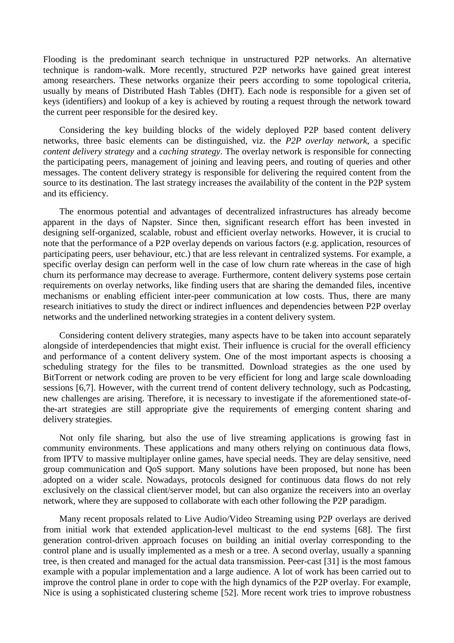Flooding is the predominant search technique in unstructured P2P networks. An alternative technique is random-walk. More recently, structured P2P networks have gained great interest among researchers. These networks organize their peers according to some topological criteria, usually by means of Distributed Hash Tables (DHT). Each node is responsible for a given set of keys (identifiers) and lookup of a key is achieved by routing a request through the network toward the current peer responsible for the desired key.

Considering the key building blocks of the widely deployed P2P based content delivery networks, three basic elements can be distinguished, viz. the *P2P overlay network*, a specific *content delivery strategy* and a *caching strategy*. The overlay network is responsible for connecting the participating peers, management of joining and leaving peers, and routing of queries and other messages. The content delivery strategy is responsible for delivering the required content from the source to its destination. The last strategy increases the availability of the content in the P2P system and its efficiency.

The enormous potential and advantages of decentralized infrastructures has already become apparent in the days of Napster. Since then, significant research effort has been invested in designing self-organized, scalable, robust and efficient overlay networks. However, it is crucial to note that the performance of a P2P overlay depends on various factors (e.g. application, resources of participating peers, user behaviour, etc.) that are less relevant in centralized systems. For example, a specific overlay design can perform well in the case of low churn rate whereas in the case of high churn its performance may decrease to average. Furthermore, content delivery systems pose certain requirements on overlay networks, like finding users that are sharing the demanded files, incentive mechanisms or enabling efficient inter-peer communication at low costs. Thus, there are many research initiatives to study the direct or indirect influences and dependencies between P2P overlay networks and the underlined networking strategies in a content delivery system.

Considering content delivery strategies, many aspects have to be taken into account separately alongside of interdependencies that might exist. Their influence is crucial for the overall efficiency and performance of a content delivery system. One of the most important aspects is choosing a scheduling strategy for the files to be transmitted. Download strategies as the one used by BitTorrent or network coding are proven to be very efficient for long and large scale downloading sessions [6,7]. However, with the current trend of content delivery technology, such as Podcasting, new challenges are arising. Therefore, it is necessary to investigate if the aforementioned state-ofthe-art strategies are still appropriate give the requirements of emerging content sharing and delivery strategies.

Not only file sharing, but also the use of live streaming applications is growing fast in community environments. These applications and many others relying on continuous data flows, from IPTV to massive multiplayer online games, have special needs. They are delay sensitive, need group communication and QoS support. Many solutions have been proposed, but none has been adopted on a wider scale. Nowadays, protocols designed for continuous data flows do not rely exclusively on the classical client/server model, but can also organize the receivers into an overlay network, where they are supposed to collaborate with each other following the P2P paradigm.

Many recent proposals related to Live Audio/Video Streaming using P2P overlays are derived from initial work that extended application-level multicast to the end systems [68]. The first generation control-driven approach focuses on building an initial overlay corresponding to the control plane and is usually implemented as a mesh or a tree. A second overlay, usually a spanning tree, is then created and managed for the actual data transmission. Peer-cast [31] is the most famous example with a popular implementation and a large audience. A lot of work has been carried out to improve the control plane in order to cope with the high dynamics of the P2P overlay. For example, Nice is using a sophisticated clustering scheme [52]. More recent work tries to improve robustness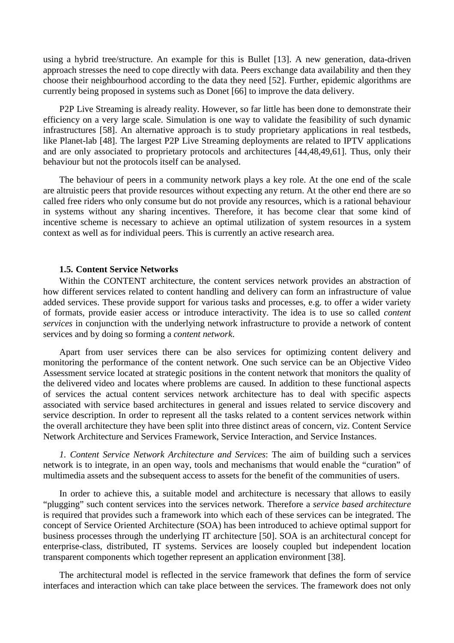using a hybrid tree/structure. An example for this is Bullet [13]. A new generation, data-driven approach stresses the need to cope directly with data. Peers exchange data availability and then they choose their neighbourhood according to the data they need [52]. Further, epidemic algorithms are currently being proposed in systems such as Donet [66] to improve the data delivery.

P2P Live Streaming is already reality. However, so far little has been done to demonstrate their efficiency on a very large scale. Simulation is one way to validate the feasibility of such dynamic infrastructures [58]. An alternative approach is to study proprietary applications in real testbeds, like Planet-lab [48]. The largest P2P Live Streaming deployments are related to IPTV applications and are only associated to proprietary protocols and architectures [44,48,49,61]. Thus, only their behaviour but not the protocols itself can be analysed.

The behaviour of peers in a community network plays a key role. At the one end of the scale are altruistic peers that provide resources without expecting any return. At the other end there are so called free riders who only consume but do not provide any resources, which is a rational behaviour in systems without any sharing incentives. Therefore, it has become clear that some kind of incentive scheme is necessary to achieve an optimal utilization of system resources in a system context as well as for individual peers. This is currently an active research area.

#### **1.5. Content Service Networks**

Within the CONTENT architecture, the content services network provides an abstraction of how different services related to content handling and delivery can form an infrastructure of value added services. These provide support for various tasks and processes, e.g. to offer a wider variety of formats, provide easier access or introduce interactivity. The idea is to use so called *content services* in conjunction with the underlying network infrastructure to provide a network of content services and by doing so forming a *content network*.

Apart from user services there can be also services for optimizing content delivery and monitoring the performance of the content network. One such service can be an Objective Video Assessment service located at strategic positions in the content network that monitors the quality of the delivered video and locates where problems are caused. In addition to these functional aspects of services the actual content services network architecture has to deal with specific aspects associated with service based architectures in general and issues related to service discovery and service description. In order to represent all the tasks related to a content services network within the overall architecture they have been split into three distinct areas of concern, viz. Content Service Network Architecture and Services Framework, Service Interaction, and Service Instances.

*1. Content Service Network Architecture and Services*: The aim of building such a services network is to integrate, in an open way, tools and mechanisms that would enable the "curation" of multimedia assets and the subsequent access to assets for the benefit of the communities of users.

In order to achieve this, a suitable model and architecture is necessary that allows to easily "plugging" such content services into the services network. Therefore a *service based architecture* is required that provides such a framework into which each of these services can be integrated. The concept of Service Oriented Architecture (SOA) has been introduced to achieve optimal support for business processes through the underlying IT architecture [50]. SOA is an architectural concept for enterprise-class, distributed, IT systems. Services are loosely coupled but independent location transparent components which together represent an application environment [38].

The architectural model is reflected in the service framework that defines the form of service interfaces and interaction which can take place between the services. The framework does not only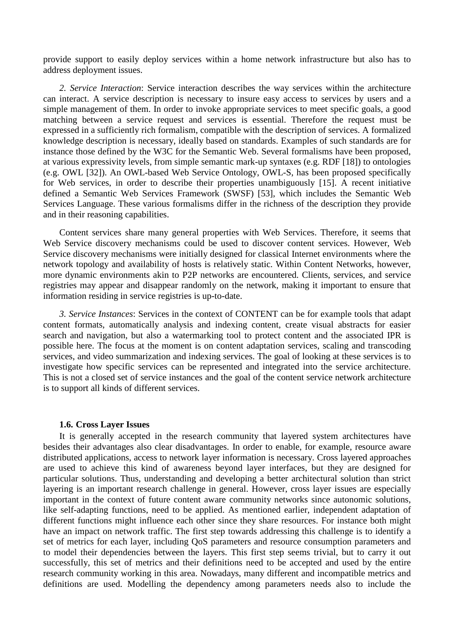provide support to easily deploy services within a home network infrastructure but also has to address deployment issues.

*2. Service Interaction*: Service interaction describes the way services within the architecture can interact. A service description is necessary to insure easy access to services by users and a simple management of them. In order to invoke appropriate services to meet specific goals, a good matching between a service request and services is essential. Therefore the request must be expressed in a sufficiently rich formalism, compatible with the description of services. A formalized knowledge description is necessary, ideally based on standards. Examples of such standards are for instance those defined by the W3C for the Semantic Web. Several formalisms have been proposed, at various expressivity levels, from simple semantic mark-up syntaxes (e.g. RDF [18]) to ontologies (e.g. OWL [32]). An OWL-based Web Service Ontology, OWL-S, has been proposed specifically for Web services, in order to describe their properties unambiguously [15]. A recent initiative defined a Semantic Web Services Framework (SWSF) [53], which includes the Semantic Web Services Language. These various formalisms differ in the richness of the description they provide and in their reasoning capabilities.

Content services share many general properties with Web Services. Therefore, it seems that Web Service discovery mechanisms could be used to discover content services. However, Web Service discovery mechanisms were initially designed for classical Internet environments where the network topology and availability of hosts is relatively static. Within Content Networks, however, more dynamic environments akin to P2P networks are encountered. Clients, services, and service registries may appear and disappear randomly on the network, making it important to ensure that information residing in service registries is up-to-date.

*3. Service Instances*: Services in the context of CONTENT can be for example tools that adapt content formats, automatically analysis and indexing content, create visual abstracts for easier search and navigation, but also a watermarking tool to protect content and the associated IPR is possible here. The focus at the moment is on content adaptation services, scaling and transcoding services, and video summarization and indexing services. The goal of looking at these services is to investigate how specific services can be represented and integrated into the service architecture. This is not a closed set of service instances and the goal of the content service network architecture is to support all kinds of different services.

#### **1.6. Cross Layer Issues**

It is generally accepted in the research community that layered system architectures have besides their advantages also clear disadvantages. In order to enable, for example, resource aware distributed applications, access to network layer information is necessary. Cross layered approaches are used to achieve this kind of awareness beyond layer interfaces, but they are designed for particular solutions. Thus, understanding and developing a better architectural solution than strict layering is an important research challenge in general. However, cross layer issues are especially important in the context of future content aware community networks since autonomic solutions, like self-adapting functions, need to be applied. As mentioned earlier, independent adaptation of different functions might influence each other since they share resources. For instance both might have an impact on network traffic. The first step towards addressing this challenge is to identify a set of metrics for each layer, including QoS parameters and resource consumption parameters and to model their dependencies between the layers. This first step seems trivial, but to carry it out successfully, this set of metrics and their definitions need to be accepted and used by the entire research community working in this area. Nowadays, many different and incompatible metrics and definitions are used. Modelling the dependency among parameters needs also to include the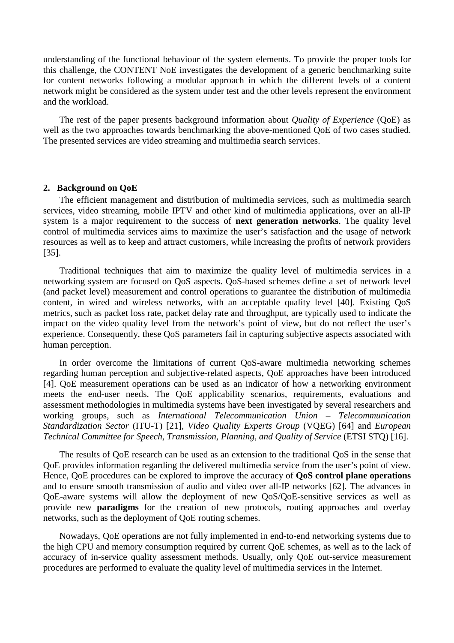understanding of the functional behaviour of the system elements. To provide the proper tools for this challenge, the CONTENT NoE investigates the development of a generic benchmarking suite for content networks following a modular approach in which the different levels of a content network might be considered as the system under test and the other levels represent the environment and the workload.

The rest of the paper presents background information about *Quality of Experience* (QoE) as well as the two approaches towards benchmarking the above-mentioned QoE of two cases studied. The presented services are video streaming and multimedia search services.

### **2. Background on QoE**

The efficient management and distribution of multimedia services, such as multimedia search services, video streaming, mobile IPTV and other kind of multimedia applications, over an all-IP system is a major requirement to the success of **next generation networks**. The quality level control of multimedia services aims to maximize the user's satisfaction and the usage of network resources as well as to keep and attract customers, while increasing the profits of network providers [35].

Traditional techniques that aim to maximize the quality level of multimedia services in a networking system are focused on QoS aspects. QoS-based schemes define a set of network level (and packet level) measurement and control operations to guarantee the distribution of multimedia content, in wired and wireless networks, with an acceptable quality level [40]. Existing QoS metrics, such as packet loss rate, packet delay rate and throughput, are typically used to indicate the impact on the video quality level from the network's point of view, but do not reflect the user's experience. Consequently, these QoS parameters fail in capturing subjective aspects associated with human perception.

In order overcome the limitations of current QoS-aware multimedia networking schemes regarding human perception and subjective-related aspects, QoE approaches have been introduced [4]. QoE measurement operations can be used as an indicator of how a networking environment meets the end-user needs. The QoE applicability scenarios, requirements, evaluations and assessment methodologies in multimedia systems have been investigated by several researchers and working groups, such as *International Telecommunication Union – Telecommunication Standardization Sector* (ITU-T) [21], *Video Quality Experts Group* (VQEG) [64] and *European Technical Committee for Speech, Transmission, Planning, and Quality of Service* (ETSI STQ) [16].

The results of QoE research can be used as an extension to the traditional QoS in the sense that QoE provides information regarding the delivered multimedia service from the user's point of view. Hence, QoE procedures can be explored to improve the accuracy of **QoS control plane operations** and to ensure smooth transmission of audio and video over all-IP networks [62]. The advances in QoE-aware systems will allow the deployment of new QoS/QoE-sensitive services as well as provide new **paradigms** for the creation of new protocols, routing approaches and overlay networks, such as the deployment of QoE routing schemes.

Nowadays, QoE operations are not fully implemented in end-to-end networking systems due to the high CPU and memory consumption required by current QoE schemes, as well as to the lack of accuracy of in-service quality assessment methods. Usually, only QoE out-service measurement procedures are performed to evaluate the quality level of multimedia services in the Internet.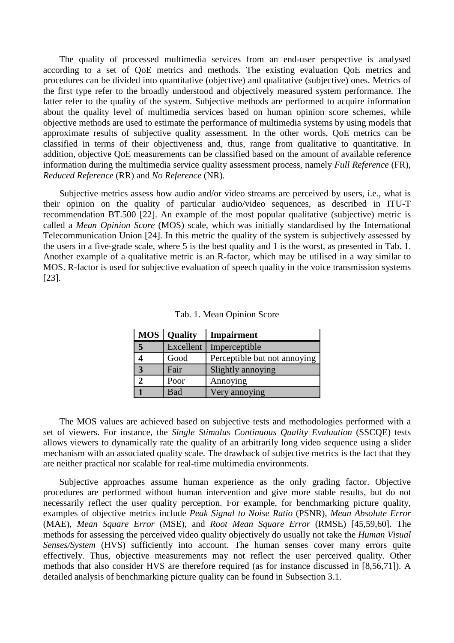The quality of processed multimedia services from an end-user perspective is analysed according to a set of QoE metrics and methods. The existing evaluation QoE metrics and procedures can be divided into quantitative (objective) and qualitative (subjective) ones. Metrics of the first type refer to the broadly understood and objectively measured system performance. The latter refer to the quality of the system. Subjective methods are performed to acquire information about the quality level of multimedia services based on human opinion score schemes, while objective methods are used to estimate the performance of multimedia systems by using models that approximate results of subjective quality assessment. In the other words, QoE metrics can be classified in terms of their objectiveness and, thus, range from qualitative to quantitative. In addition, objective QoE measurements can be classified based on the amount of available reference information during the multimedia service quality assessment process, namely *Full Reference* (FR), *Reduced Reference* (RR) and *No Reference* (NR).

Subjective metrics assess how audio and/or video streams are perceived by users, i.e., what is their opinion on the quality of particular audio/video sequences, as described in ITU-T recommendation BT.500 [22]. An example of the most popular qualitative (subjective) metric is called a *Mean Opinion Score* (MOS) scale, which was initially standardised by the International Telecommunication Union [24]. In this metric the quality of the system is subjectively assessed by the users in a five-grade scale, where 5 is the best quality and 1 is the worst, as presented in Tab. 1. Another example of a qualitative metric is an R-factor, which may be utilised in a way similar to MOS. R-factor is used for subjective evaluation of speech quality in the voice transmission systems [23].

|                | <b>MOS</b>   Quality | Impairment                   |
|----------------|----------------------|------------------------------|
| 5              | Excellent            | Imperceptible                |
|                | Good                 | Perceptible but not annoying |
| $\overline{3}$ | Fair                 | Slightly annoying            |
|                | Poor                 | Annoying                     |
|                | Bad                  | Very annoying                |

Tab. 1. Mean Opinion Score

The MOS values are achieved based on subjective tests and methodologies performed with a set of viewers. For instance, the *Single Stimulus Continuous Quality Evaluation* (SSCQE) tests allows viewers to dynamically rate the quality of an arbitrarily long video sequence using a slider mechanism with an associated quality scale. The drawback of subjective metrics is the fact that they are neither practical nor scalable for real-time multimedia environments.

Subjective approaches assume human experience as the only grading factor. Objective procedures are performed without human intervention and give more stable results, but do not necessarily reflect the user quality perception. For example, for benchmarking picture quality, examples of objective metrics include *Peak Signal to Noise Ratio* (PSNR), *Mean Absolute Error* (MAE), *Mean Square Error* (MSE), and *Root Mean Square Error* (RMSE) [45,59,60]. The methods for assessing the perceived video quality objectively do usually not take the *Human Visual Senses/System* (HVS) sufficiently into account. The human senses cover many errors quite effectively. Thus, objective measurements may not reflect the user perceived quality. Other methods that also consider HVS are therefore required (as for instance discussed in [8,56,71]). A detailed analysis of benchmarking picture quality can be found in Subsection 3.1.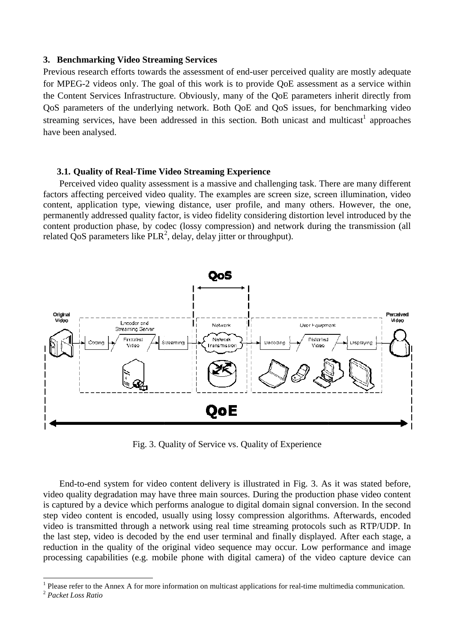# **3. Benchmarking Video Streaming Services**

Previous research efforts towards the assessment of end-user perceived quality are mostly adequate for MPEG-2 videos only. The goal of this work is to provide QoE assessment as a service within the Content Services Infrastructure. Obviously, many of the QoE parameters inherit directly from Previous research efforts towards the assessment of end-user perceived quality are mostly adequate<br>for MPEG-2 videos only. The goal of this work is to provide QoE assessment as a service within<br>the Content Services Infrast streaming services, have been addressed in this section. Both unicast and multicast<sup>1</sup> approaches have been analysed.

# **3.1. Quality of Real-Time Video Streaming Experience Time**

Perceived video quality assessment is a massive and challenging task. There are many different factors affecting perceived video quality. The examples are screen size, screen illumination, video content, application type, viewing distance, user profile, and many others. However, the one, permanently addressed quality factor, is video fidelity considering distortion level introduced by the content production phase, by codec (lossy compression) and network during the transmission (all related QoS parameters like  $PLR^2$ , delay, delay jitter or throughput).



Fig. 3. Quality of Service vs. Quality of Experience

End-to-end system for video content delivery is illustrated in Fig. 3. As it was stated before, video quality degradation may have three main sources. During the production phase video content is captured by a device which performs analogue to digital domain signal conversion. In the second step video content is encoded, usually using lossy compression algorithms. Afterwards, encoded video is transmitted through a network using real time streaming protocols such as as RTP/UDP. In the last step, video is decoded by the end user terminal and finally displayed. After each stage, a reduction in the quality of the original video sequence may occur. Low performance and image processing capabilities (e.g. mobile phone with di gital ice which performs analogue to digital domain signal conversion. In the second<br>is encoded, usually using lossy compression algorithms. Afterwards, encoded<br>through a network using real time streaming protocols such as RTP/U

 $\overline{a}$ 

 $<sup>1</sup>$  Please refer to the Annex A for more information on multicast applications for real-time multimedia communication.</sup>

<sup>2</sup> *Packet Loss Ratio*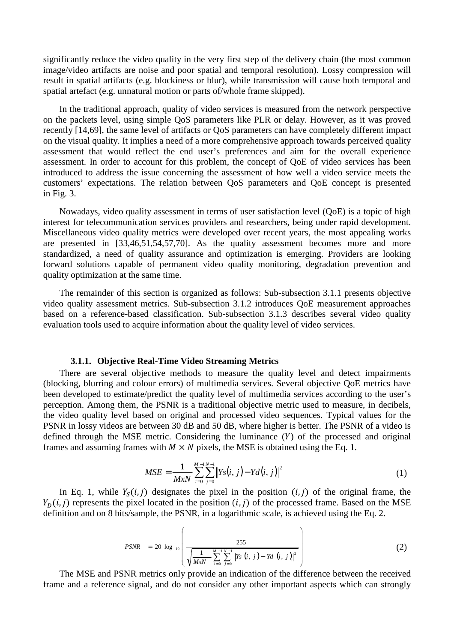significantly reduce the video quality in the very first step of the delivery chain (the most common image/video artifacts are noise and poor spatial and temporal resolution). Lossy compression will result in spatial artifacts (e.g. blockiness or blur), while transmission will cause both temporal and spatial artefact (e.g. unnatural motion or parts of/whole frame skipped).

In the traditional approach, quality of video services is measured from the network perspective on the packets level, using simple QoS parameters like PLR or delay. However, as it was proved recently [14,69], the same level of artifacts or QoS parameters can have completely different impact on the visual quality. It implies a need of a more comprehensive approach towards perceived quality assessment that would reflect the end user's preferences and aim for the overall experience assessment. In order to account for this problem, the concept of QoE of video services has been introduced to address the issue concerning the assessment of how well a video service meets the customers' expectations. The relation between QoS parameters and QoE concept is presented in Fig. 3.

Nowadays, video quality assessment in terms of user satisfaction level (QoE) is a topic of high interest for telecommunication services providers and researchers, being under rapid development. Miscellaneous video quality metrics were developed over recent years, the most appealing works are presented in [33,46,51,54,57,70]. As the quality assessment becomes more and more standardized, a need of quality assurance and optimization is emerging. Providers are looking forward solutions capable of permanent video quality monitoring, degradation prevention and quality optimization at the same time.

The remainder of this section is organized as follows: Sub-subsection 3.1.1 presents objective video quality assessment metrics. Sub-subsection 3.1.2 introduces QoE measurement approaches based on a reference-based classification. Sub-subsection 3.1.3 describes several video quality evaluation tools used to acquire information about the quality level of video services.

#### **3.1.1. Objective Real-Time Video Streaming Metrics**

There are several objective methods to measure the quality level and detect impairments (blocking, blurring and colour errors) of multimedia services. Several objective QoE metrics have been developed to estimate/predict the quality level of multimedia services according to the user's perception. Among them, the PSNR is a traditional objective metric used to measure, in decibels, the video quality level based on original and processed video sequences. Typical values for the PSNR in lossy videos are between 30 dB and 50 dB, where higher is better. The PSNR of a video is defined through the MSE metric. Considering the luminance  $(Y)$  of the processed and original frames and assuming frames with  $M \times N$  pixels, the MSE is obtained using the Eq. 1.

$$
MSE = \frac{1}{MxN} \sum_{i=0}^{M-1} \sum_{j=0}^{N-1} \|Ys(i, j) - Yd(i, j)\|^2
$$
 (1)

In Eq. 1, while  $Y_s(i, j)$  designates the pixel in the position  $(i, j)$  of the original frame, the  $Y_D(i, j)$  represents the pixel located in the position  $(i, j)$  of the processed frame. Based on the MSE definition and on 8 bits/sample, the PSNR, in a logarithmic scale, is achieved using the Eq. 2.

$$
PSNR = 20 \log_{10} \left( \frac{255}{\sqrt{\frac{1}{MxN}} \sum_{i=0}^{M-1} \sum_{j=0}^{N-1} ||Ys(i, j) - Yd(i, j)||^2} \right)
$$
 (2)

The MSE and PSNR metrics only provide an indication of the difference between the received frame and a reference signal, and do not consider any other important aspects which can strongly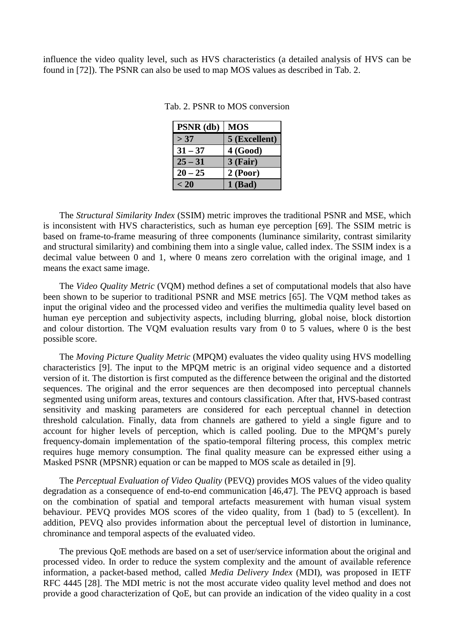influence the video quality level, such as HVS characteristics (a detailed analysis of HVS can be found in [72]). The PSNR can also be used to map MOS values as described in Tab. 2.

| $PSNR$ (db) | <b>MOS</b>    |
|-------------|---------------|
| > 37        | 5 (Excellent) |
| $31 - 37$   | 4(Good)       |
| $25 - 31$   | $3$ (Fair)    |
| $20 - 25$   | 2 (Poor)      |
| < 20        | $1$ (Bad)     |

Tab. 2. PSNR to MOS conversion

The *Structural Similarity Index* (SSIM) metric improves the traditional PSNR and MSE, which is inconsistent with HVS characteristics, such as human eye perception [69]. The SSIM metric is based on frame-to-frame measuring of three components (luminance similarity, contrast similarity and structural similarity) and combining them into a single value, called index. The SSIM index is a decimal value between 0 and 1, where 0 means zero correlation with the original image, and 1 means the exact same image.

The *Video Quality Metric* (VQM) method defines a set of computational models that also have been shown to be superior to traditional PSNR and MSE metrics [65]. The VQM method takes as input the original video and the processed video and verifies the multimedia quality level based on human eye perception and subjectivity aspects, including blurring, global noise, block distortion and colour distortion. The VQM evaluation results vary from 0 to 5 values, where 0 is the best possible score.

The *Moving Picture Quality Metric* (MPQM) evaluates the video quality using HVS modelling characteristics [9]. The input to the MPQM metric is an original video sequence and a distorted version of it. The distortion is first computed as the difference between the original and the distorted sequences. The original and the error sequences are then decomposed into perceptual channels segmented using uniform areas, textures and contours classification. After that, HVS-based contrast sensitivity and masking parameters are considered for each perceptual channel in detection threshold calculation. Finally, data from channels are gathered to yield a single figure and to account for higher levels of perception, which is called pooling. Due to the MPQM's purely frequency-domain implementation of the spatio-temporal filtering process, this complex metric requires huge memory consumption. The final quality measure can be expressed either using a Masked PSNR (MPSNR) equation or can be mapped to MOS scale as detailed in [9].

The *Perceptual Evaluation of Video Quality* (PEVQ) provides MOS values of the video quality degradation as a consequence of end-to-end communication [46,47]. The PEVQ approach is based on the combination of spatial and temporal artefacts measurement with human visual system behaviour. PEVQ provides MOS scores of the video quality, from 1 (bad) to 5 (excellent). In addition, PEVQ also provides information about the perceptual level of distortion in luminance, chrominance and temporal aspects of the evaluated video.

The previous QoE methods are based on a set of user/service information about the original and processed video. In order to reduce the system complexity and the amount of available reference information, a packet-based method, called *Media Delivery Index* (MDI), was proposed in IETF RFC 4445 [28]. The MDI metric is not the most accurate video quality level method and does not provide a good characterization of QoE, but can provide an indication of the video quality in a cost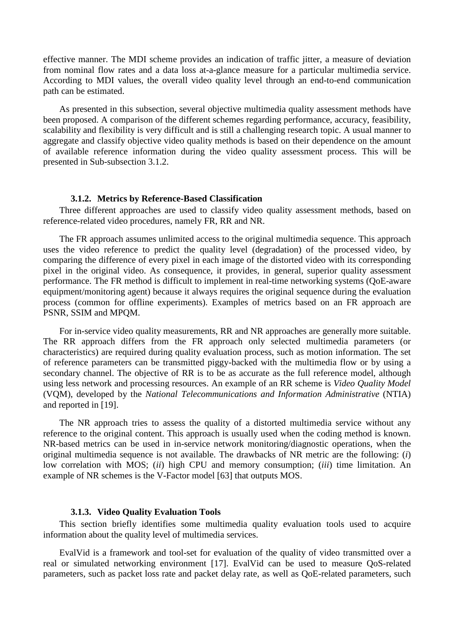effective manner. The MDI scheme provides an indication of traffic jitter, a measure of deviation from nominal flow rates and a data loss at-a-glance measure for a particular multimedia service. According to MDI values, the overall video quality level through an end-to-end communication path can be estimated.

As presented in this subsection, several objective multimedia quality assessment methods have been proposed. A comparison of the different schemes regarding performance, accuracy, feasibility, scalability and flexibility is very difficult and is still a challenging research topic. A usual manner to aggregate and classify objective video quality methods is based on their dependence on the amount of available reference information during the video quality assessment process. This will be presented in Sub-subsection 3.1.2.

# **3.1.2. Metrics by Reference-Based Classification**

Three different approaches are used to classify video quality assessment methods, based on reference-related video procedures, namely FR, RR and NR.

The FR approach assumes unlimited access to the original multimedia sequence. This approach uses the video reference to predict the quality level (degradation) of the processed video, by comparing the difference of every pixel in each image of the distorted video with its corresponding pixel in the original video. As consequence, it provides, in general, superior quality assessment performance. The FR method is difficult to implement in real-time networking systems (QoE-aware equipment/monitoring agent) because it always requires the original sequence during the evaluation process (common for offline experiments). Examples of metrics based on an FR approach are PSNR, SSIM and MPQM.

For in-service video quality measurements, RR and NR approaches are generally more suitable. The RR approach differs from the FR approach only selected multimedia parameters (or characteristics) are required during quality evaluation process, such as motion information. The set of reference parameters can be transmitted piggy-backed with the multimedia flow or by using a secondary channel. The objective of RR is to be as accurate as the full reference model, although using less network and processing resources. An example of an RR scheme is *Video Quality Model* (VQM), developed by the *National Telecommunications and Information Administrative* (NTIA) and reported in [19].

The NR approach tries to assess the quality of a distorted multimedia service without any reference to the original content. This approach is usually used when the coding method is known. NR-based metrics can be used in in-service network monitoring/diagnostic operations, when the original multimedia sequence is not available. The drawbacks of NR metric are the following: (*i*) low correlation with MOS; (*ii*) high CPU and memory consumption; (*iii*) time limitation. An example of NR schemes is the V-Factor model [63] that outputs MOS.

#### **3.1.3. Video Quality Evaluation Tools**

This section briefly identifies some multimedia quality evaluation tools used to acquire information about the quality level of multimedia services.

EvalVid is a framework and tool-set for evaluation of the quality of video transmitted over a real or simulated networking environment [17]. EvalVid can be used to measure QoS-related parameters, such as packet loss rate and packet delay rate, as well as QoE-related parameters, such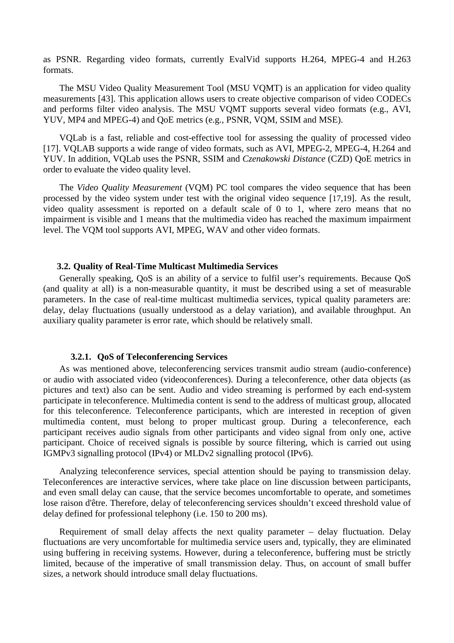as PSNR. Regarding video formats, currently EvalVid supports H.264, MPEG-4 and H.263 formats.

The MSU Video Quality Measurement Tool (MSU VQMT) is an application for video quality measurements [43]. This application allows users to create objective comparison of video CODECs and performs filter video analysis. The MSU VQMT supports several video formats (e.g., AVI, YUV, MP4 and MPEG-4) and QoE metrics (e.g., PSNR, VQM, SSIM and MSE).

VQLab is a fast, reliable and cost-effective tool for assessing the quality of processed video [17]. VQLAB supports a wide range of video formats, such as AVI, MPEG-2, MPEG-4, H.264 and YUV. In addition, VQLab uses the PSNR, SSIM and *Czenakowski Distance* (CZD) QoE metrics in order to evaluate the video quality level.

The *Video Quality Measurement* (VQM) PC tool compares the video sequence that has been processed by the video system under test with the original video sequence [17,19]. As the result, video quality assessment is reported on a default scale of 0 to 1, where zero means that no impairment is visible and 1 means that the multimedia video has reached the maximum impairment level. The VQM tool supports AVI, MPEG, WAV and other video formats.

## **3.2. Quality of Real-Time Multicast Multimedia Services**

Generally speaking, QoS is an ability of a service to fulfil user's requirements. Because QoS (and quality at all) is a non-measurable quantity, it must be described using a set of measurable parameters. In the case of real-time multicast multimedia services, typical quality parameters are: delay, delay fluctuations (usually understood as a delay variation), and available throughput. An auxiliary quality parameter is error rate, which should be relatively small.

#### **3.2.1. QoS of Teleconferencing Services**

As was mentioned above, teleconferencing services transmit audio stream (audio-conference) or audio with associated video (videoconferences). During a teleconference, other data objects (as pictures and text) also can be sent. Audio and video streaming is performed by each end-system participate in teleconference. Multimedia content is send to the address of multicast group, allocated for this teleconference. Teleconference participants, which are interested in reception of given multimedia content, must belong to proper multicast group. During a teleconference, each participant receives audio signals from other participants and video signal from only one, active participant. Choice of received signals is possible by source filtering, which is carried out using IGMPv3 signalling protocol (IPv4) or MLDv2 signalling protocol (IPv6).

Analyzing teleconference services, special attention should be paying to transmission delay. Teleconferences are interactive services, where take place on line discussion between participants, and even small delay can cause, that the service becomes uncomfortable to operate, and sometimes lose raison d'être. Therefore, delay of teleconferencing services shouldn't exceed threshold value of delay defined for professional telephony (i.e. 150 to 200 ms).

Requirement of small delay affects the next quality parameter – delay fluctuation. Delay fluctuations are very uncomfortable for multimedia service users and, typically, they are eliminated using buffering in receiving systems. However, during a teleconference, buffering must be strictly limited, because of the imperative of small transmission delay. Thus, on account of small buffer sizes, a network should introduce small delay fluctuations.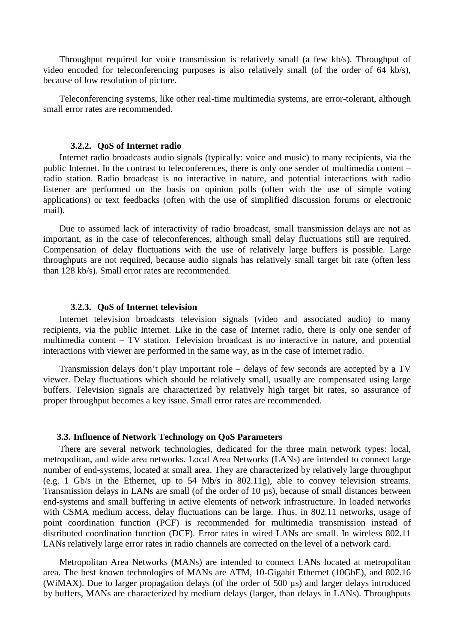Throughput required for voice transmission is relatively small (a few kb/s). Throughput of video encoded for teleconferencing purposes is also relatively small (of the order of 64 kb/s), because of low resolution of picture.

Teleconferencing systems, like other real-time multimedia systems, are error-tolerant, although small error rates are recommended.

## **3.2.2. QoS of Internet radio**

Internet radio broadcasts audio signals (typically: voice and music) to many recipients, via the public Internet. In the contrast to teleconferences, there is only one sender of multimedia content – radio station. Radio broadcast is no interactive in nature, and potential interactions with radio listener are performed on the basis on opinion polls (often with the use of simple voting applications) or text feedbacks (often with the use of simplified discussion forums or electronic mail).

Due to assumed lack of interactivity of radio broadcast, small transmission delays are not as important, as in the case of teleconferences, although small delay fluctuations still are required. Compensation of delay fluctuations with the use of relatively large buffers is possible. Large throughputs are not required, because audio signals has relatively small target bit rate (often less than 128 kb/s). Small error rates are recommended.

## **3.2.3. QoS of Internet television**

Internet television broadcasts television signals (video and associated audio) to many recipients, via the public Internet. Like in the case of Internet radio, there is only one sender of multimedia content – TV station. Television broadcast is no interactive in nature, and potential interactions with viewer are performed in the same way, as in the case of Internet radio.

Transmission delays don't play important role – delays of few seconds are accepted by a TV viewer. Delay fluctuations which should be relatively small, usually are compensated using large buffers. Television signals are characterized by relatively high target bit rates, so assurance of proper throughput becomes a key issue. Small error rates are recommended.

#### **3.3. Influence of Network Technology on QoS Parameters**

There are several network technologies, dedicated for the three main network types: local, metropolitan, and wide area networks. Local Area Networks (LANs) are intended to connect large number of end-systems, located at small area. They are characterized by relatively large throughput (e.g. 1 Gb/s in the Ethernet, up to 54 Mb/s in 802.11g), able to convey television streams. Transmission delays in LANs are small (of the order of 10 µs), because of small distances between end-systems and small buffering in active elements of network infrastructure. In loaded networks with CSMA medium access, delay fluctuations can be large. Thus, in 802.11 networks, usage of point coordination function (PCF) is recommended for multimedia transmission instead of distributed coordination function (DCF). Error rates in wired LANs are small. In wireless 802.11 LANs relatively large error rates in radio channels are corrected on the level of a network card.

Metropolitan Area Networks (MANs) are intended to connect LANs located at metropolitan area. The best known technologies of MANs are ATM, 10-Gigabit Ethernet (10GbE), and 802.16 (WiMAX). Due to larger propagation delays (of the order of 500 µs) and larger delays introduced by buffers, MANs are characterized by medium delays (larger, than delays in LANs). Throughputs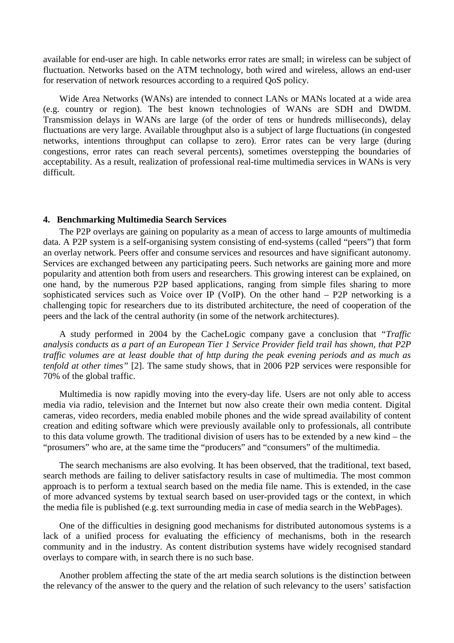available for end-user are high. In cable networks error rates are small; in wireless can be subject of fluctuation. Networks based on the ATM technology, both wired and wireless, allows an end-user for reservation of network resources according to a required QoS policy.

Wide Area Networks (WANs) are intended to connect LANs or MANs located at a wide area (e.g. country or region). The best known technologies of WANs are SDH and DWDM. Transmission delays in WANs are large (of the order of tens or hundreds milliseconds), delay fluctuations are very large. Available throughput also is a subject of large fluctuations (in congested networks, intentions throughput can collapse to zero). Error rates can be very large (during congestions, error rates can reach several percents), sometimes overstepping the boundaries of acceptability. As a result, realization of professional real-time multimedia services in WANs is very difficult.

#### **4. Benchmarking Multimedia Search Services**

The P2P overlays are gaining on popularity as a mean of access to large amounts of multimedia data. A P2P system is a self-organising system consisting of end-systems (called "peers") that form an overlay network. Peers offer and consume services and resources and have significant autonomy. Services are exchanged between any participating peers. Such networks are gaining more and more popularity and attention both from users and researchers. This growing interest can be explained, on one hand, by the numerous P2P based applications, ranging from simple files sharing to more sophisticated services such as Voice over IP (VoIP). On the other hand – P2P networking is a challenging topic for researchers due to its distributed architecture, the need of cooperation of the peers and the lack of the central authority (in some of the network architectures).

A study performed in 2004 by the CacheLogic company gave a conclusion that *"Traffic analysis conducts as a part of an European Tier 1 Service Provider field trail has shown, that P2P traffic volumes are at least double that of http during the peak evening periods and as much as tenfold at other times"* [2]. The same study shows, that in 2006 P2P services were responsible for 70% of the global traffic.

Multimedia is now rapidly moving into the every-day life. Users are not only able to access media via radio, television and the Internet but now also create their own media content. Digital cameras, video recorders, media enabled mobile phones and the wide spread availability of content creation and editing software which were previously available only to professionals, all contribute to this data volume growth. The traditional division of users has to be extended by a new kind – the "prosumers" who are, at the same time the "producers" and "consumers" of the multimedia.

The search mechanisms are also evolving. It has been observed, that the traditional, text based, search methods are failing to deliver satisfactory results in case of multimedia. The most common approach is to perform a textual search based on the media file name. This is extended, in the case of more advanced systems by textual search based on user-provided tags or the context, in which the media file is published (e.g. text surrounding media in case of media search in the WebPages).

One of the difficulties in designing good mechanisms for distributed autonomous systems is a lack of a unified process for evaluating the efficiency of mechanisms, both in the research community and in the industry. As content distribution systems have widely recognised standard overlays to compare with, in search there is no such base.

Another problem affecting the state of the art media search solutions is the distinction between the relevancy of the answer to the query and the relation of such relevancy to the users' satisfaction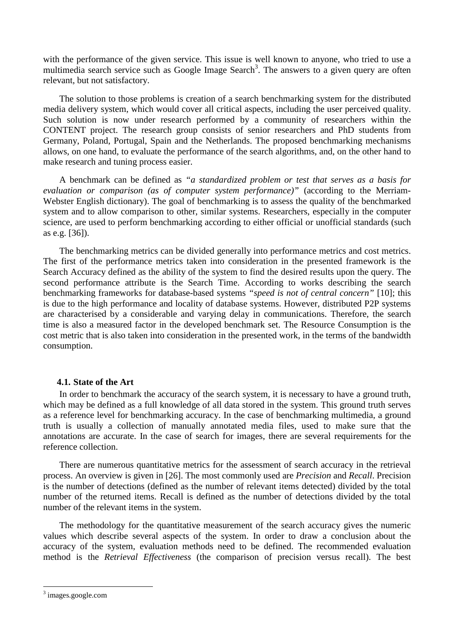with the performance of the given service. This issue is well known to anyone, who tried to use a multimedia search service such as Google Image Search<sup>3</sup>. The answers to a given query are often relevant, but not satisfactory.

The solution to those problems is creation of a search benchmarking system for the distributed media delivery system, which would cover all critical aspects, including the user perceived quality. Such solution is now under research performed by a community of researchers within the CONTENT project. The research group consists of senior researchers and PhD students from Germany, Poland, Portugal, Spain and the Netherlands. The proposed benchmarking mechanisms allows, on one hand, to evaluate the performance of the search algorithms, and, on the other hand to make research and tuning process easier.

A benchmark can be defined as *"a standardized problem or test that serves as a basis for evaluation or comparison (as of computer system performance)"* (according to the Merriam-Webster English dictionary). The goal of benchmarking is to assess the quality of the benchmarked system and to allow comparison to other, similar systems. Researchers, especially in the computer science, are used to perform benchmarking according to either official or unofficial standards (such as e.g. [36]).

The benchmarking metrics can be divided generally into performance metrics and cost metrics. The first of the performance metrics taken into consideration in the presented framework is the Search Accuracy defined as the ability of the system to find the desired results upon the query. The second performance attribute is the Search Time. According to works describing the search benchmarking frameworks for database-based systems *"speed is not of central concern"* [10]; this is due to the high performance and locality of database systems. However, distributed P2P systems are characterised by a considerable and varying delay in communications. Therefore, the search time is also a measured factor in the developed benchmark set. The Resource Consumption is the cost metric that is also taken into consideration in the presented work, in the terms of the bandwidth consumption.

# **4.1. State of the Art**

In order to benchmark the accuracy of the search system, it is necessary to have a ground truth, which may be defined as a full knowledge of all data stored in the system. This ground truth serves as a reference level for benchmarking accuracy. In the case of benchmarking multimedia, a ground truth is usually a collection of manually annotated media files, used to make sure that the annotations are accurate. In the case of search for images, there are several requirements for the reference collection.

There are numerous quantitative metrics for the assessment of search accuracy in the retrieval process. An overview is given in [26]. The most commonly used are *Precision* and *Recall*. Precision is the number of detections (defined as the number of relevant items detected) divided by the total number of the returned items. Recall is defined as the number of detections divided by the total number of the relevant items in the system.

The methodology for the quantitative measurement of the search accuracy gives the numeric values which describe several aspects of the system. In order to draw a conclusion about the accuracy of the system, evaluation methods need to be defined. The recommended evaluation method is the *Retrieval Effectiveness* (the comparison of precision versus recall). The best

 $\overline{a}$ 

<sup>&</sup>lt;sup>3</sup> images.google.com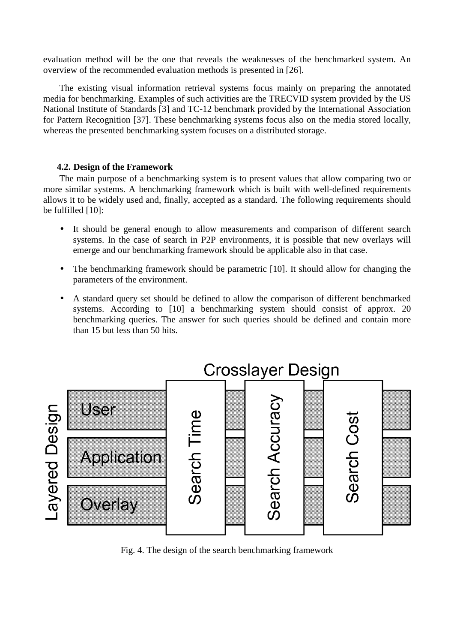evaluation method will be the one that reveals the weaknesses of the benchmarked system. An overview of the recommended evaluation methods is presented in [26].

The existing visual information retrieval systems focus mainly on preparing the annotated media for benchmarking. Examples of such activities are the TRECVID system provided by the US National Institute of Standards [3] and TC-12 benchmark provided by the International Association for Pattern Recognition [37]. These benchmarking systems focus also on the media stored locally, whereas the presented benchmarking system focuses on a distributed storage.

# **4.2. Design of the Framework**

The main purpose of a benchmarking system is to present values that allow comparing two or more similar systems. A benchmarking framework which is built with well-defined requirements allows it to be widely used and, finally, accepted as a standard. The following requirements should be fulfilled [10]:

- It should be general enough to allow measurements and comparison of different search systems. In the case of search in P2P environments, it is possible that new overlays will emerge and our benchmarking framework should be applicable also in that case.
- The benchmarking framework should be parametric [10]. It should allow for changing the parameters of the environment.
- A standard query set should be defined to allow the comparison of different benchmarked systems. According to [10] a benchmarking system should consist of approx. 20 benchmarking queries. The answer for such queries should be defined and contain more than 15 but less than 50 hits.



Fig. 4. The design of the search benchmarking framework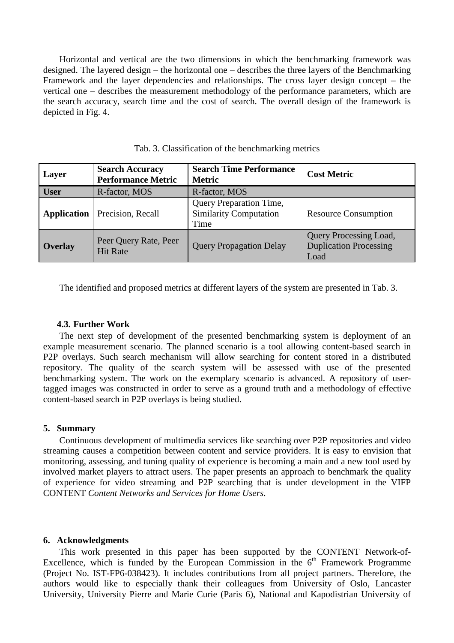Horizontal and vertical are the two dimensions in which the benchmarking framework was designed. The layered design – the horizontal one – describes the three layers of the Benchmarking Framework and the layer dependencies and relationships. The cross layer design concept – the vertical one – describes the measurement methodology of the performance parameters, which are the search accuracy, search time and the cost of search. The overall design of the framework is depicted in Fig. 4.

| Layer              | <b>Search Accuracy</b><br><b>Performance Metric</b> | <b>Search Time Performance</b><br><b>Metric</b>                         | <b>Cost Metric</b>                                              |
|--------------------|-----------------------------------------------------|-------------------------------------------------------------------------|-----------------------------------------------------------------|
| <b>User</b>        | R-factor, MOS                                       | R-factor, MOS                                                           |                                                                 |
| <b>Application</b> | Precision, Recall                                   | <b>Query Preparation Time,</b><br><b>Similarity Computation</b><br>Time | <b>Resource Consumption</b>                                     |
| <b>Overlay</b>     | Peer Query Rate, Peer<br><b>Hit Rate</b>            | <b>Query Propagation Delay</b>                                          | Query Processing Load,<br><b>Duplication Processing</b><br>Load |

Tab. 3. Classification of the benchmarking metrics

The identified and proposed metrics at different layers of the system are presented in Tab. 3.

# **4.3. Further Work**

The next step of development of the presented benchmarking system is deployment of an example measurement scenario. The planned scenario is a tool allowing content-based search in P2P overlays. Such search mechanism will allow searching for content stored in a distributed repository. The quality of the search system will be assessed with use of the presented benchmarking system. The work on the exemplary scenario is advanced. A repository of usertagged images was constructed in order to serve as a ground truth and a methodology of effective content-based search in P2P overlays is being studied.

## **5. Summary**

Continuous development of multimedia services like searching over P2P repositories and video streaming causes a competition between content and service providers. It is easy to envision that monitoring, assessing, and tuning quality of experience is becoming a main and a new tool used by involved market players to attract users. The paper presents an approach to benchmark the quality of experience for video streaming and P2P searching that is under development in the VIFP CONTENT *Content Networks and Services for Home Users*.

## **6. Acknowledgments**

This work presented in this paper has been supported by the CONTENT Network-of-Excellence, which is funded by the European Commission in the  $6<sup>th</sup>$  Framework Programme (Project No. IST-FP6-038423). It includes contributions from all project partners. Therefore, the authors would like to especially thank their colleagues from University of Oslo, Lancaster University, University Pierre and Marie Curie (Paris 6), National and Kapodistrian University of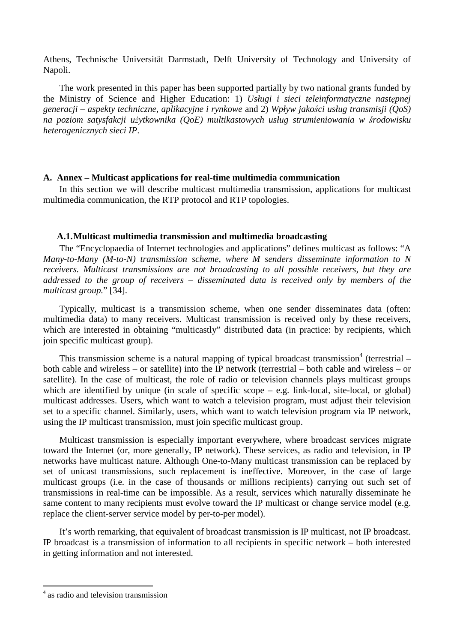Athens, Technische Universität Darmstadt, Delft University of Technology and University of Napoli.

The work presented in this paper has been supported partially by two national grants funded by the Ministry of Science and Higher Education: 1) *Usługi i sieci teleinformatyczne następnej generacji – aspekty techniczne, aplikacyjne i rynkowe* and 2) *Wpływ jakości usług transmisji (QoS) na poziom satysfakcji uŜytkownika (QoE) multikastowych usług strumieniowania w środowisku heterogenicznych sieci IP*.

## **A. Annex – Multicast applications for real-time multimedia communication**

In this section we will describe multicast multimedia transmission, applications for multicast multimedia communication, the RTP protocol and RTP topologies.

# **A.1.Multicast multimedia transmission and multimedia broadcasting**

The "Encyclopaedia of Internet technologies and applications" defines multicast as follows: "A *Many-to-Many (M-to-N) transmission scheme, where M senders disseminate information to N receivers. Multicast transmissions are not broadcasting to all possible receivers, but they are addressed to the group of receivers – disseminated data is received only by members of the multicast group.*" [34].

Typically, multicast is a transmission scheme, when one sender disseminates data (often: multimedia data) to many receivers. Multicast transmission is received only by these receivers, which are interested in obtaining "multicastly" distributed data (in practice: by recipients, which join specific multicast group).

This transmission scheme is a natural mapping of typical broadcast transmission<sup>4</sup> (terrestrial  $$ both cable and wireless – or satellite) into the IP network (terrestrial – both cable and wireless – or satellite). In the case of multicast, the role of radio or television channels plays multicast groups which are identified by unique (in scale of specific scope – e.g. link-local, site-local, or global) multicast addresses. Users, which want to watch a television program, must adjust their television set to a specific channel. Similarly, users, which want to watch television program via IP network, using the IP multicast transmission, must join specific multicast group.

Multicast transmission is especially important everywhere, where broadcast services migrate toward the Internet (or, more generally, IP network). These services, as radio and television, in IP networks have multicast nature. Although One-to-Many multicast transmission can be replaced by set of unicast transmissions, such replacement is ineffective. Moreover, in the case of large multicast groups (i.e. in the case of thousands or millions recipients) carrying out such set of transmissions in real-time can be impossible. As a result, services which naturally disseminate he same content to many recipients must evolve toward the IP multicast or change service model (e.g. replace the client-server service model by per-to-per model).

It's worth remarking, that equivalent of broadcast transmission is IP multicast, not IP broadcast. IP broadcast is a transmission of information to all recipients in specific network – both interested in getting information and not interested.

 $\overline{a}$ 

<sup>4</sup> as radio and television transmission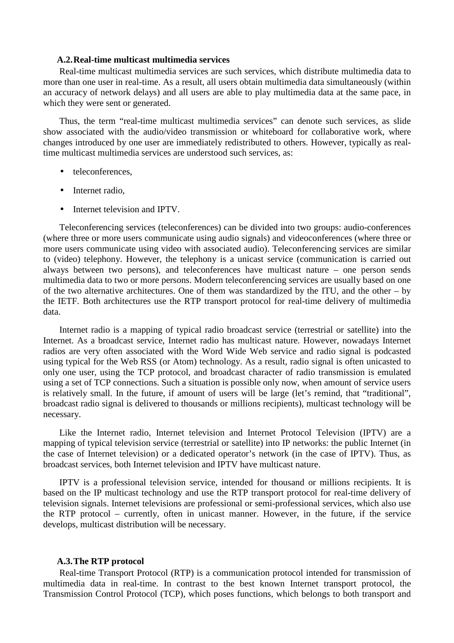# **A.2.Real-time multicast multimedia services**

Real-time multicast multimedia services are such services, which distribute multimedia data to more than one user in real-time. As a result, all users obtain multimedia data simultaneously (within an accuracy of network delays) and all users are able to play multimedia data at the same pace, in which they were sent or generated.

Thus, the term "real-time multicast multimedia services" can denote such services, as slide show associated with the audio/video transmission or whiteboard for collaborative work, where changes introduced by one user are immediately redistributed to others. However, typically as realtime multicast multimedia services are understood such services, as:

- teleconferences.
- Internet radio.
- Internet television and IPTV.

Teleconferencing services (teleconferences) can be divided into two groups: audio-conferences (where three or more users communicate using audio signals) and videoconferences (where three or more users communicate using video with associated audio). Teleconferencing services are similar to (video) telephony. However, the telephony is a unicast service (communication is carried out always between two persons), and teleconferences have multicast nature – one person sends multimedia data to two or more persons. Modern teleconferencing services are usually based on one of the two alternative architectures. One of them was standardized by the ITU, and the other – by the IETF. Both architectures use the RTP transport protocol for real-time delivery of multimedia data.

Internet radio is a mapping of typical radio broadcast service (terrestrial or satellite) into the Internet. As a broadcast service, Internet radio has multicast nature. However, nowadays Internet radios are very often associated with the Word Wide Web service and radio signal is podcasted using typical for the Web RSS (or Atom) technology. As a result, radio signal is often unicasted to only one user, using the TCP protocol, and broadcast character of radio transmission is emulated using a set of TCP connections. Such a situation is possible only now, when amount of service users is relatively small. In the future, if amount of users will be large (let's remind, that "traditional", broadcast radio signal is delivered to thousands or millions recipients), multicast technology will be necessary.

Like the Internet radio, Internet television and Internet Protocol Television (IPTV) are a mapping of typical television service (terrestrial or satellite) into IP networks: the public Internet (in the case of Internet television) or a dedicated operator's network (in the case of IPTV). Thus, as broadcast services, both Internet television and IPTV have multicast nature.

IPTV is a professional television service, intended for thousand or millions recipients. It is based on the IP multicast technology and use the RTP transport protocol for real-time delivery of television signals. Internet televisions are professional or semi-professional services, which also use the RTP protocol – currently, often in unicast manner. However, in the future, if the service develops, multicast distribution will be necessary.

#### **A.3.The RTP protocol**

Real-time Transport Protocol (RTP) is a communication protocol intended for transmission of multimedia data in real-time. In contrast to the best known Internet transport protocol, the Transmission Control Protocol (TCP), which poses functions, which belongs to both transport and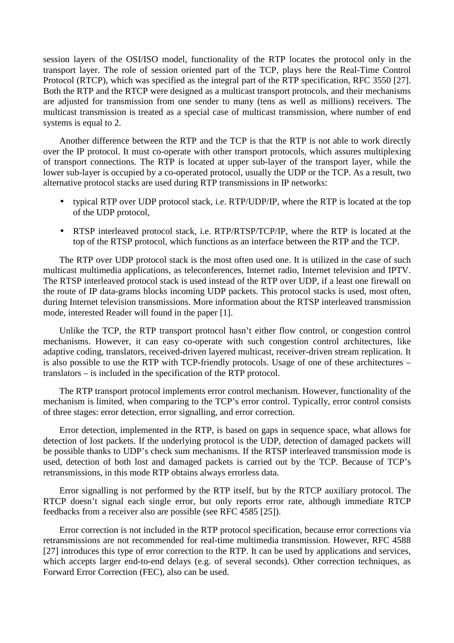session layers of the OSI/ISO model, functionality of the RTP locates the protocol only in the transport layer. The role of session oriented part of the TCP, plays here the Real-Time Control Protocol (RTCP), which was specified as the integral part of the RTP specification, RFC 3550 [27]. Both the RTP and the RTCP were designed as a multicast transport protocols, and their mechanisms are adjusted for transmission from one sender to many (tens as well as millions) receivers. The multicast transmission is treated as a special case of multicast transmission, where number of end systems is equal to 2.

Another difference between the RTP and the TCP is that the RTP is not able to work directly over the IP protocol. It must co-operate with other transport protocols, which assures multiplexing of transport connections. The RTP is located at upper sub-layer of the transport layer, while the lower sub-layer is occupied by a co-operated protocol, usually the UDP or the TCP. As a result, two alternative protocol stacks are used during RTP transmissions in IP networks:

- typical RTP over UDP protocol stack, i.e. RTP/UDP/IP, where the RTP is located at the top of the UDP protocol,
- RTSP interleaved protocol stack, i.e. RTP/RTSP/TCP/IP, where the RTP is located at the top of the RTSP protocol, which functions as an interface between the RTP and the TCP.

The RTP over UDP protocol stack is the most often used one. It is utilized in the case of such multicast multimedia applications, as teleconferences, Internet radio, Internet television and IPTV. The RTSP interleaved protocol stack is used instead of the RTP over UDP, if a least one firewall on the route of IP data-grams blocks incoming UDP packets. This protocol stacks is used, most often, during Internet television transmissions. More information about the RTSP interleaved transmission mode, interested Reader will found in the paper [1].

Unlike the TCP, the RTP transport protocol hasn't either flow control, or congestion control mechanisms. However, it can easy co-operate with such congestion control architectures, like adaptive coding, translators, received-driven layered multicast, receiver-driven stream replication. It is also possible to use the RTP with TCP-friendly protocols. Usage of one of these architectures – translators – is included in the specification of the RTP protocol.

The RTP transport protocol implements error control mechanism. However, functionality of the mechanism is limited, when comparing to the TCP's error control. Typically, error control consists of three stages: error detection, error signalling, and error correction.

Error detection, implemented in the RTP, is based on gaps in sequence space, what allows for detection of lost packets. If the underlying protocol is the UDP, detection of damaged packets will be possible thanks to UDP's check sum mechanisms. If the RTSP interleaved transmission mode is used, detection of both lost and damaged packets is carried out by the TCP. Because of TCP's retransmissions, in this mode RTP obtains always errorless data.

Error signalling is not performed by the RTP itself, but by the RTCP auxiliary protocol. The RTCP doesn't signal each single error, but only reports error rate, although immediate RTCP feedbacks from a receiver also are possible (see RFC 4585 [25]).

Error correction is not included in the RTP protocol specification, because error corrections via retransmissions are not recommended for real-time multimedia transmission. However, RFC 4588 [27] introduces this type of error correction to the RTP. It can be used by applications and services, which accepts larger end-to-end delays (e.g. of several seconds). Other correction techniques, as Forward Error Correction (FEC), also can be used.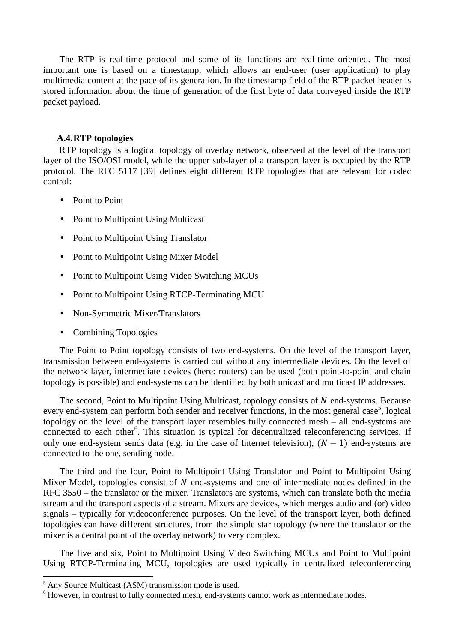The RTP is real-time protocol and some of its functions are real-time oriented. The most important one is based on a timestamp, which allows an end-user (user application) to play multimedia content at the pace of its generation. In the timestamp field of the RTP packet header is stored information about the time of generation of the first byte of data conveyed inside the RTP packet payload.

# **A.4.RTP topologies**

RTP topology is a logical topology of overlay network, observed at the level of the transport layer of the ISO/OSI model, while the upper sub-layer of a transport layer is occupied by the RTP protocol. The RFC 5117 [39] defines eight different RTP topologies that are relevant for codec control:

- Point to Point
- Point to Multipoint Using Multicast
- Point to Multipoint Using Translator
- Point to Multipoint Using Mixer Model
- Point to Multipoint Using Video Switching MCUs
- Point to Multipoint Using RTCP-Terminating MCU
- Non-Symmetric Mixer/Translators
- Combining Topologies

The Point to Point topology consists of two end-systems. On the level of the transport layer, transmission between end-systems is carried out without any intermediate devices. On the level of the network layer, intermediate devices (here: routers) can be used (both point-to-point and chain topology is possible) and end-systems can be identified by both unicast and multicast IP addresses.

The second, Point to Multipoint Using Multicast, topology consists of  $N$  end-systems. Because every end-system can perform both sender and receiver functions, in the most general case<sup>5</sup>, logical topology on the level of the transport layer resembles fully connected mesh – all end-systems are connected to each other<sup>6</sup>. This situation is typical for decentralized teleconferencing services. If only one end-system sends data (e.g. in the case of Internet television),  $(N - 1)$  end-systems are connected to the one, sending node.

The third and the four, Point to Multipoint Using Translator and Point to Multipoint Using Mixer Model, topologies consist of  $N$  end-systems and one of intermediate nodes defined in the RFC 3550 – the translator or the mixer. Translators are systems, which can translate both the media stream and the transport aspects of a stream. Mixers are devices, which merges audio and (or) video signals – typically for videoconference purposes. On the level of the transport layer, both defined topologies can have different structures, from the simple star topology (where the translator or the mixer is a central point of the overlay network) to very complex.

The five and six, Point to Multipoint Using Video Switching MCUs and Point to Multipoint Using RTCP-Terminating MCU, topologies are used typically in centralized teleconferencing

 $\overline{a}$ 

<sup>5</sup> Any Source Multicast (ASM) transmission mode is used.

<sup>&</sup>lt;sup>6</sup> However, in contrast to fully connected mesh, end-systems cannot work as intermediate nodes.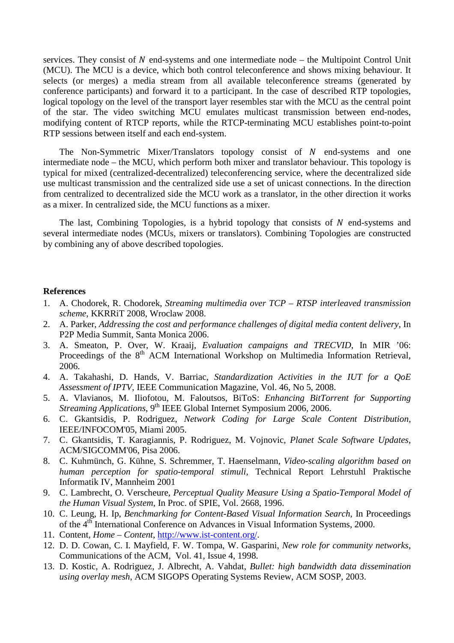services. They consist of  $N$  end-systems and one intermediate node – the Multipoint Control Unit (MCU). The MCU is a device, which both control teleconference and shows mixing behaviour. It selects (or merges) a media stream from all available teleconference streams (generated by conference participants) and forward it to a participant. In the case of described RTP topologies, logical topology on the level of the transport layer resembles star with the MCU as the central point of the star. The video switching MCU emulates multicast transmission between end-nodes, modifying content of RTCP reports, while the RTCP-terminating MCU establishes point-to-point RTP sessions between itself and each end-system.

The Non-Symmetric Mixer/Translators topology consist of  $N$  end-systems and one intermediate node – the MCU, which perform both mixer and translator behaviour. This topology is typical for mixed (centralized-decentralized) teleconferencing service, where the decentralized side use multicast transmission and the centralized side use a set of unicast connections. In the direction from centralized to decentralized side the MCU work as a translator, in the other direction it works as a mixer. In centralized side, the MCU functions as a mixer.

The last, Combining Topologies, is a hybrid topology that consists of  $N$  end-systems and several intermediate nodes (MCUs, mixers or translators). Combining Topologies are constructed by combining any of above described topologies.

#### **References**

- 1. A. Chodorek, R. Chodorek, *Streaming multimedia over TCP RTSP interleaved transmission scheme*, KKRRiT 2008, Wroclaw 2008.
- 2. A. Parker, *Addressing the cost and performance challenges of digital media content delivery*, In P2P Media Summit, Santa Monica 2006.
- 3. A. Smeaton, P. Over, W. Kraaij, *Evaluation campaigns and TRECVID*, In MIR '06: Proceedings of the 8<sup>th</sup> ACM International Workshop on Multimedia Information Retrieval, 2006.
- 4. A. Takahashi, D. Hands, V. Barriac, *Standardization Activities in the IUT for a QoE Assessment of IPTV*, IEEE Communication Magazine, Vol. 46, No 5, 2008.
- 5. A. Vlavianos, M. Iliofotou, M. Faloutsos, BiToS: *Enhancing BitTorrent for Supporting Streaming Applications*, 9<sup>th</sup> IEEE Global Internet Symposium 2006, 2006.
- 6. C. Gkantsidis, P. Rodriguez, *Network Coding for Large Scale Content Distribution*, IEEE/INFOCOM'05, Miami 2005.
- 7. C. Gkantsidis, T. Karagiannis, P. Rodriguez, M. Vojnovic, *Planet Scale Software Updates*, ACM/SIGCOMM'06, Pisa 2006.
- 8. C. Kuhmünch, G. Kühne, S. Schremmer, T. Haenselmann, *Video-scaling algorithm based on human perception for spatio-temporal stimuli*, Technical Report Lehrstuhl Praktische Informatik IV, Mannheim 2001
- 9. C. Lambrecht, O. Verscheure, *Perceptual Quality Measure Using a Spatio-Temporal Model of the Human Visual System*, In Proc. of SPIE, Vol. 2668, 1996.
- 10. C. Leung, H. Ip, *Benchmarking for Content-Based Visual Information Search*, In Proceedings of the 4<sup>th</sup> International Conference on Advances in Visual Information Systems, 2000.
- 11. Content, *Home Content*, http://www.ist-content.org/.
- 12. D. D. Cowan, C. I. Mayfield, F. W. Tompa, W. Gasparini, *New role for community networks*, Communications of the ACM, Vol. 41, Issue 4, 1998.
- 13. D. Kostic, A. Rodriguez, J. Albrecht, A. Vahdat, *Bullet: high bandwidth data dissemination using overlay mesh*, ACM SIGOPS Operating Systems Review, ACM SOSP, 2003.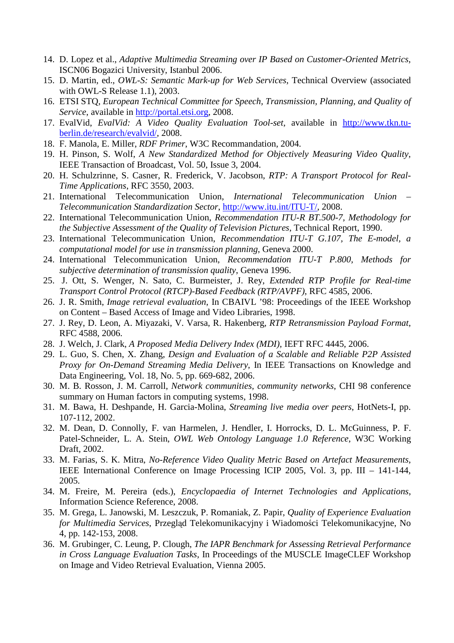- 14. D. Lopez et al., *Adaptive Multimedia Streaming over IP Based on Customer-Oriented Metrics*, ISCN06 Bogazici University, Istanbul 2006.
- 15. D. Martin, ed., *OWL-S: Semantic Mark-up for Web Services*, Technical Overview (associated with OWL-S Release 1.1), 2003.
- 16. ETSI STQ, *European Technical Committee for Speech, Transmission, Planning, and Quality of Service*, available in http://portal.etsi.org, 2008.
- 17. EvalVid, *EvalVid: A Video Quality Evaluation Tool-set*, available in http://www.tkn.tuberlin.de/research/evalvid/, 2008.
- 18. F. Manola, E. Miller, *RDF Primer*, W3C Recommandation, 2004.
- 19. H. Pinson, S. Wolf, *A New Standardized Method for Objectively Measuring Video Quality*, IEEE Transaction of Broadcast, Vol. 50, Issue 3, 2004.
- 20. H. Schulzrinne, S. Casner, R. Frederick, V. Jacobson, *RTP: A Transport Protocol for Real-Time Applications*, RFC 3550, 2003.
- 21. International Telecommunication Union, *International Telecommunication Union Telecommunication Standardization Sector*, http://www.itu.int/ITU-T/, 2008.
- 22. International Telecommunication Union, *Recommendation ITU-R BT.500-7, Methodology for the Subjective Assessment of the Quality of Television Pictures*, Technical Report, 1990.
- 23. International Telecommunication Union, *Recommendation ITU-T G.107, The E-model, a computational model for use in transmission planning*, Geneva 2000.
- 24. International Telecommunication Union, *Recommendation ITU-T P.800, Methods for subjective determination of transmission quality*, Geneva 1996.
- 25. J. Ott, S. Wenger, N. Sato, C. Burmeister, J. Rey, *Extended RTP Profile for Real-time Transport Control Protocol (RTCP)-Based Feedback (RTP/AVPF)*, RFC 4585, 2006.
- 26. J. R. Smith, *Image retrieval evaluation*, In CBAIVL '98: Proceedings of the IEEE Workshop on Content – Based Access of Image and Video Libraries, 1998.
- 27. J. Rey, D. Leon, A. Miyazaki, V. Varsa, R. Hakenberg, *RTP Retransmission Payload Format*, RFC 4588, 2006.
- 28. J. Welch, J. Clark, *A Proposed Media Delivery Index (MDI)*, IEFT RFC 4445, 2006.
- 29. L. Guo, S. Chen, X. Zhang, *Design and Evaluation of a Scalable and Reliable P2P Assisted Proxy for On-Demand Streaming Media Delivery*, In IEEE Transactions on Knowledge and Data Engineering, Vol. 18, No. 5, pp. 669-682, 2006.
- 30. M. B. Rosson, J. M. Carroll, *Network communities, community networks*, CHI 98 conference summary on Human factors in computing systems, 1998.
- 31. M. Bawa, H. Deshpande, H. Garcia-Molina, *Streaming live media over peers*, HotNets-I, pp. 107-112, 2002.
- 32. M. Dean, D. Connolly, F. van Harmelen, J. Hendler, I. Horrocks, D. L. McGuinness, P. F. Patel-Schneider, L. A. Stein, *OWL Web Ontology Language 1.0 Reference*, W3C Working Draft, 2002.
- 33. M. Farias, S. K. Mitra, *No-Reference Video Quality Metric Based on Artefact Measurements*, IEEE International Conference on Image Processing ICIP 2005, Vol. 3, pp. III – 141-144, 2005.
- 34. M. Freire, M. Pereira (eds.), *Encyclopaedia of Internet Technologies and Applications*, Information Science Reference, 2008.
- 35. M. Grega, L. Janowski, M. Leszczuk, P. Romaniak, Z. Papir, *Quality of Experience Evaluation for Multimedia Services*, Przegląd Telekomunikacyjny i Wiadomości Telekomunikacyjne, No 4, pp. 142-153, 2008.
- 36. M. Grubinger, C. Leung, P. Clough, *The IAPR Benchmark for Assessing Retrieval Performance in Cross Language Evaluation Tasks*, In Proceedings of the MUSCLE ImageCLEF Workshop on Image and Video Retrieval Evaluation, Vienna 2005.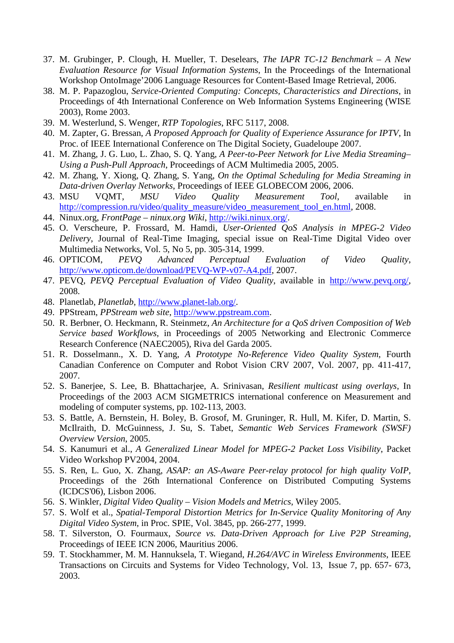- 37. M. Grubinger, P. Clough, H. Mueller, T. Deselears, *The IAPR TC-12 Benchmark A New Evaluation Resource for Visual Information Systems*, In the Proceedings of the International Workshop OntoImage'2006 Language Resources for Content-Based Image Retrieval, 2006.
- 38. M. P. Papazoglou, *Service-Oriented Computing: Concepts, Characteristics and Directions*, in Proceedings of 4th International Conference on Web Information Systems Engineering (WISE 2003), Rome 2003.
- 39. M. Westerlund, S. Wenger, *RTP Topologies*, RFC 5117, 2008.
- 40. M. Zapter, G. Bressan, *A Proposed Approach for Quality of Experience Assurance for IPTV*, In Proc. of IEEE International Conference on The Digital Society, Guadeloupe 2007.
- 41. M. Zhang, J. G. Luo, L. Zhao, S. Q. Yang, *A Peer-to-Peer Network for Live Media Streaming– Using a Push-Pull Approach*, Proceedings of ACM Multimedia 2005, 2005.
- 42. M. Zhang, Y. Xiong, Q. Zhang, S. Yang, *On the Optimal Scheduling for Media Streaming in Data-driven Overlay Networks*, Proceedings of IEEE GLOBECOM 2006, 2006.
- 43. MSU VQMT, *MSU Video Quality Measurement Tool*, available in http://compression.ru/video/quality\_measure/video\_measurement\_tool\_en.html, 2008.
- 44. Ninux.org, *FrontPage ninux.org Wiki*, http://wiki.ninux.org/.
- 45. O. Verscheure, P. Frossard, M. Hamdi, *User-Oriented QoS Analysis in MPEG-2 Video Delivery*, Journal of Real-Time Imaging, special issue on Real-Time Digital Video over Multimedia Networks, Vol. 5, No 5, pp. 305-314, 1999.
- 46. OPTICOM, *PEVQ Advanced Perceptual Evaluation of Video Quality*, http://www.opticom.de/download/PEVQ-WP-v07-A4.pdf, 2007.
- 47. PEVQ, *PEVQ Perceptual Evaluation of Video Quality*, available in http://www.pevq.org/, 2008.
- 48. Planetlab, *Planetlab*, http://www.planet-lab.org/.
- 49. PPStream, *PPStream web site*, http://www.ppstream.com.
- 50. R. Berbner, O. Heckmann, R. Steinmetz, *An Architecture for a QoS driven Composition of Web Service based Workflows*, in Proceedings of 2005 Networking and Electronic Commerce Research Conference (NAEC2005), Riva del Garda 2005.
- 51. R. Dosselmann., X. D. Yang, *A Prototype No-Reference Video Quality System*, Fourth Canadian Conference on Computer and Robot Vision CRV 2007, Vol. 2007, pp. 411-417, 2007.
- 52. S. Banerjee, S. Lee, B. Bhattacharjee, A. Srinivasan, *Resilient multicast using overlays*, In Proceedings of the 2003 ACM SIGMETRICS international conference on Measurement and modeling of computer systems, pp. 102-113, 2003.
- 53. S. Battle, A. Bernstein, H. Boley, B. Grosof, M. Gruninger, R. Hull, M. Kifer, D. Martin, S. McIlraith, D. McGuinness, J. Su, S. Tabet, *Semantic Web Services Framework (SWSF) Overview Version*, 2005.
- 54. S. Kanumuri et al., *A Generalized Linear Model for MPEG-2 Packet Loss Visibility*, Packet Video Workshop PV2004, 2004.
- 55. S. Ren, L. Guo, X. Zhang, *ASAP: an AS-Aware Peer-relay protocol for high quality VoIP*, Proceedings of the 26th International Conference on Distributed Computing Systems (ICDCS'06), Lisbon 2006.
- 56. S. Winkler, *Digital Video Quality Vision Models and Metrics*, Wiley 2005.
- 57. S. Wolf et al., *Spatial-Temporal Distortion Metrics for In-Service Quality Monitoring of Any Digital Video System*, in Proc. SPIE, Vol. 3845, pp. 266-277, 1999.
- 58. T. Silverston, O. Fourmaux, *Source vs. Data-Driven Approach for Live P2P Streaming*, Proceedings of IEEE ICN 2006, Mauritius 2006.
- 59. T. Stockhammer, M. M. Hannuksela, T. Wiegand, *H.264/AVC in Wireless Environments*, IEEE Transactions on Circuits and Systems for Video Technology, Vol. 13, Issue 7, pp. 657- 673, 2003.